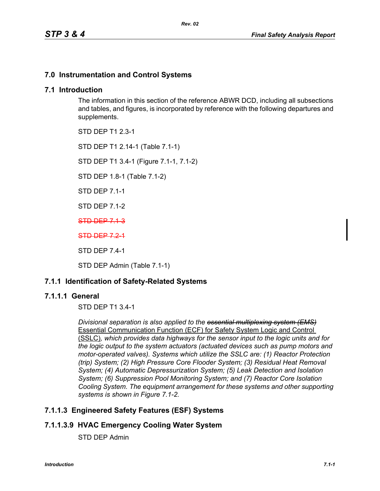# **7.0 Instrumentation and Control Systems**

## **7.1 Introduction**

The information in this section of the reference ABWR DCD, including all subsections and tables, and figures, is incorporated by reference with the following departures and supplements.

STD DEP T1 2.3-1

STD DEP T1 2.14-1 (Table 7.1-1)

STD DEP T1 3.4-1 (Figure 7.1-1, 7.1-2)

STD DEP 1.8-1 (Table 7.1-2)

STD DEP 7.1-1

STD DEP 7.1-2

STD DEP 7.1-3

STD DEP 7.2-1

STD DEP 7.4-1

STD DEP Admin (Table 7.1-1)

# **7.1.1 Identification of Safety-Related Systems**

## **7.1.1.1 General**

STD DEP T1 3.4-1

*Divisional separation is also applied to the essential multiplexing system (EMS)* Essential Communication Function (ECF) for Safety System Logic and Control (SSLC)*, which provides data highways for the sensor input to the logic units and for the logic output to the system actuators (actuated devices such as pump motors and motor-operated valves). Systems which utilize the SSLC are: (1) Reactor Protection (trip) System; (2) High Pressure Core Flooder System; (3) Residual Heat Removal System; (4) Automatic Depressurization System; (5) Leak Detection and Isolation System; (6) Suppression Pool Monitoring System; and (7) Reactor Core Isolation Cooling System. The equipment arrangement for these systems and other supporting systems is shown in Figure 7.1-2.*

# **7.1.1.3 Engineered Safety Features (ESF) Systems**

# **7.1.1.3.9 HVAC Emergency Cooling Water System**

STD DEP Admin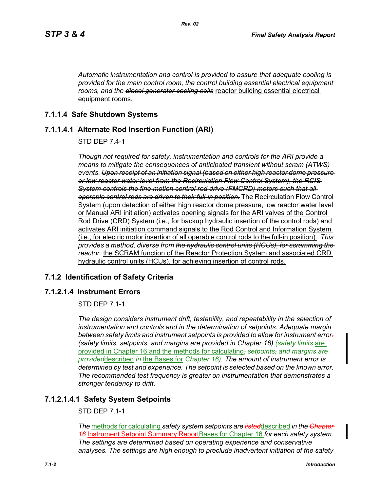*Automatic instrumentation and control is provided to assure that adequate cooling is provided for the main control room, the control building essential electrical equipment rooms, and the diesel generator cooling coils* reactor building essential electrical equipment rooms.

*Rev. 02*

# **7.1.1.4 Safe Shutdown Systems**

# **7.1.1.4.1 Alternate Rod Insertion Function (ARI)**

STD DEP 7.4-1

*Though not required for safety, instrumentation and controls for the ARI provide a means to mitigate the consequences of anticipated transient without scram (ATWS) events. Upon receipt of an initiation signal (based on either high reactor dome pressure or low reactor water level from the Recirculation Flow Control System), the RCIS System controls the fine motion control rod drive (FMCRD) motors such that all operable control rods are driven to their full-in position.* The Recirculation Flow Control System (upon detection of either high reactor dome pressure, low reactor water level or Manual ARI initiation) activates opening signals for the ARI valves of the Control Rod Drive (CRD) System (i.e., for backup hydraulic insertion of the control rods) and activates ARI initiation command signals to the Rod Control and Information System (i.e., for electric motor insertion of all operable control rods to the full-in position). *This provides a method, diverse from the hydraulic control units (HCUs), for scramming the reactor.* the SCRAM function of the Reactor Protection System and associated CRD hydraulic control units (HCUs), for achieving insertion of control rods.

# **7.1.2 Identification of Safety Criteria**

# **7.1.2.1.4 Instrument Errors**

STD DEP 7.1-1

*The design considers instrument drift, testability, and repeatability in the selection of instrumentation and controls and in the determination of setpoints. Adequate margin between safety limits and instrument setpoints is provided to allow for instrument error. (safety limits, setpoints, and margins are provided in Chapter 16). (safety limits are* provided in Chapter 16 and the methods for calculating, *setpoints, and margins are provided*described *in* the Bases for *Chapter 16). The amount of instrument error is determined by test and experience. The setpoint is selected based on the known error. The recommended test frequency is greater on instrumentation that demonstrates a stronger tendency to drift.*

# **7.1.2.1.4.1 Safety System Setpoints**

STD DEP 7.1-1

*The* methods for calculating *safety system setpoints are listed*described *in the Chapter 16* Instrument Setpoint Summary ReportBases for Chapter 16 *for each safety system. The settings are determined based on operating experience and conservative analyses. The settings are high enough to preclude inadvertent initiation of the safety*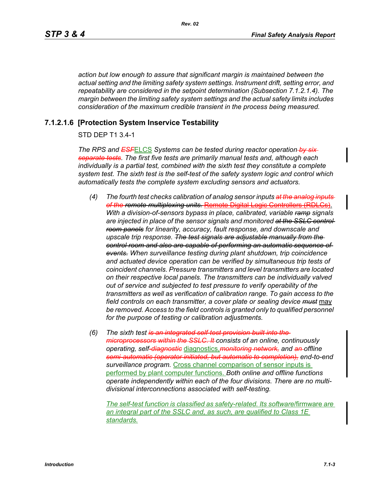*Rev. 02*

*action but low enough to assure that significant margin is maintained between the actual setting and the limiting safety system settings. Instrument drift, setting error, and repeatability are considered in the setpoint determination (Subsection 7.1.2.1.4). The margin between the limiting safety system settings and the actual safety limits includes consideration of the maximum credible transient in the process being measured.*

## **7.1.2.1.6 [Protection System Inservice Testability**

## STD DEP T1 3.4-1

*The RPS and ESF*ELCS *Systems can be tested during reactor operation by six separate tests. The first five tests are primarily manual tests and, although each individually is a partial test, combined with the sixth test they constitute a complete system test. The sixth test is the self-test of the safety system logic and control which automatically tests the complete system excluding sensors and actuators.*

- *(4) The fourth test checks calibration of analog sensor inputs at the analog inputs of the remote multiplexing units.* Remote Digital Logic Controllers (RDLCs). *With a division-of-sensors bypass in place, calibrated, variable ramp signals are injected in place of the sensor signals and monitored at the SSLC control room panels for linearity, accuracy, fault response, and downscale and upscale trip response. The test signals are adjustable manually from the control room and also are capable of performing an automatic sequence of events. When surveillance testing during plant shutdown, trip coincidence and actuated device operation can be verified by simultaneous trip tests of coincident channels. Pressure transmitters and level transmitters are located on their respective local panels. The transmitters can be individually valved out of service and subjected to test pressure to verify operability of the transmitters as well as verification of calibration range. To gain access to the field controls on each transmitter, a cover plate or sealing device must* may be removed. Access to the field controls is granted only to qualified personnel *for the purpose of testing or calibration adjustments.*
- *(6) The sixth test is an integrated self-test provision built into the microprocessors within the SSLC. It consists of an online, continuously operating, self-diagnostic* diagnostics,*monitoring network, and an offline semi-automatic (operator initiated, but automatic to completion), end-to-end surveillance program.* Cross channel comparison of sensor inputs is performed by plant computer functions. *Both online and offline functions operate independently within each of the four divisions. There are no multidivisional interconnections associated with self-testing.*

*The self-test function is classified as safety-related. Its software*/firmware *are an integral part of the SSLC and, as such, are qualified to Class 1E standards.*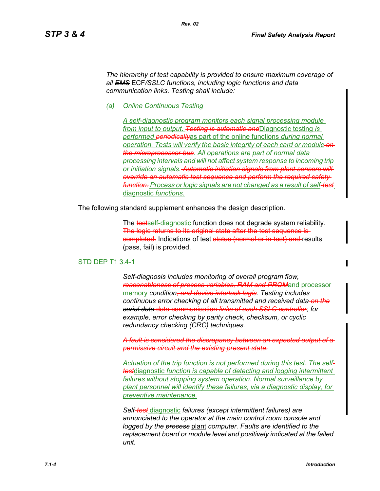*The hierarchy of test capability is provided to ensure maximum coverage of all EMS* ECF*/SSLC functions, including logic functions and data communication links. Testing shall include:*

*Rev. 02*

*(a) Online Continuous Testing*

*A self-diagnostic program monitors each signal processing module from input to output. Testing is automatic and*Diagnostic testing *is performed periodically*as part of the online functions *during normal operation. Tests will verify the basic integrity of each card or module on the microprocessor bus. All operations are part of normal data processing intervals and will not affect system response to incoming trip or initiation signals. Automatic initiation signals from plant sensors will override an automatic test sequence and perform the required safety function. Process or logic signals are not changed as a result of self-test* diagnostic *functions.*

The following standard supplement enhances the design description.

The testself-diagnostic function does not degrade system reliability. The logic returns to its original state after the test sequence is eompleted. Indications of test status (normal or in-test) and results (pass, fail) is provided.

#### STD DEP T1 3.4-1

*Self-diagnosis includes monitoring of overall program flow, reasonableness of process variables, RAM and PROM*and processor memory *condition, and device interlock logic. Testing includes continuous error checking of all transmitted and received data on the serial data* data communication *links of each SSLC controller; for example, error checking by parity check, checksum, or cyclic redundancy checking (CRC) techniques.*

*A fault is considered the discrepancy between an expected output of a permissive circuit and the existing present state.*

*Actuation of the trip function is not performed during this test. The selftest*diagnostic *function is capable of detecting and logging intermittent failures without stopping system operation. Normal surveillance by plant personnel will identify these failures, via a diagnostic display, for preventive maintenance.*

*Self-test* diagnostic *failures (except intermittent failures) are annunciated to the operator at the main control room console and logged by the process* plant *computer. Faults are identified to the replacement board or module level and positively indicated at the failed unit.*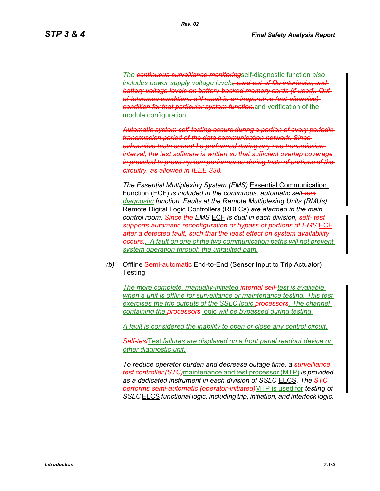*The continuous surveillance monitoring*self-diagnostic function *also includes power supply voltage levels, card-out-of-file interlocks, and battery voltage levels on battery-backed memory cards (if used). Outof-tolerance conditions will result in an inoperative (out-ofservice) condition for that particular system function.*and verification of the module configuration.

*Automatic system self-testing occurs during a portion of every periodic transmission period of the data communication network. Since exhaustive tests cannot be performed during any one transmission interval, the test software is written so that sufficient overlap coverage is provided to prove system performance during tests of portions of the circuitry, as allowed in IEEE 338.*

*The Essential Multiplexing System (EMS)* Essential Communication Function (ECF) *is included in the continuous, automatic self-test diagnostic function. Faults at the Remote Multiplexing Units (RMUs)* Remote Digital Logic Controllers (RDLCs) *are alarmed in the main control room. Since the EMS* ECF *is dual in each division, self- test supports automatic reconfiguration or bypass of portions of EMS* ECF *after a detected fault, such that the least effect on system availability occurs...* A fault on one of the two communication paths will not prevent *system operation through the unfaulted path.*

*(b)* Offline Semi-automatic End-to-End (Sensor Input to Trip Actuator) **Testing** 

*The more complete, manually-initiated internal self-test is available when a unit is offline for surveillance or maintenance testing. This test*  exercises the trip outputs of the SSLC logic **processors**. The channel *containing the processors* logic *will be bypassed during testing.*

*A fault is considered the inability to open or close any control circuit.*

*Self-test*Test *failures are displayed on a front panel readout device or other diagnostic unit.*

*To reduce operator burden and decrease outage time, a surveillance test controller (STC)*maintenance and test processor (MTP) *is provided as a dedicated instrument in each division of SSLC* ELCS. *The STC performs semi-automatic (operator-initiated)*MTP is used for *testing of SSLC* ELCS *functional logic, including trip, initiation, and interlock logic.*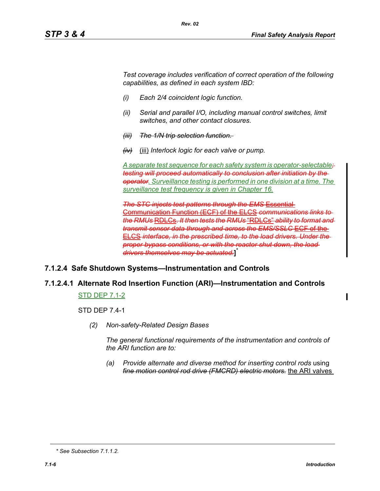*Test coverage includes verification of correct operation of the following capabilities, as defined in each system IBD:*

- *(i) Each 2/4 coincident logic function.*
- *(ii) Serial and parallel I/O, including manual control switches, limit switches, and other contact closures.*
- *(iii) The 1/N trip selection function.*
- *(iv)* (iii) *Interlock logic for each valve or pump.*

*A separate test sequence for each safety system is operator-selectable; testing will proceed automatically to conclusion after initiation by the operator. Surveillance testing is performed in one division at a time. The surveillance test frequency is given in Chapter 16.*

*The STC injects test patterns through the EMS* Essential Communication Function (ECF) of the ELCS *communications links to the RMUs* RDLCs. *It then tests the RMUs* "RDLCs" *ability to format and transmit sensor data through and across the EMS/SSLC* ECF of the ELCS *interface, in the prescribed time, to the load drivers. Under the proper bypass conditions, or with the reactor shut down, the load drivers themselves may be actuated.***]** \*

# **7.1.2.4 Safe Shutdown Systems—Instrumentation and Controls**

# **7.1.2.4.1 Alternate Rod Insertion Function (ARI)—Instrumentation and Controls**

#### STD DEP 7.1-2

STD DEP 7.4-1

*(2) Non-safety-Related Design Bases*

*The general functional requirements of the instrumentation and controls of the ARI function are to:*

*(a) Provide alternate and diverse method for inserting control rods using fine motion control rod drive (FMCRD) electric motors.* the ARI valves

*<sup>\*</sup> See Subsection 7.1.1.2.*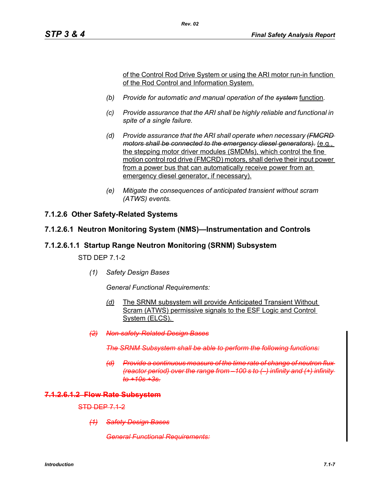of the Control Rod Drive System or using the ARI motor run-in function of the Rod Control and Information System.

- *(b) Provide for automatic and manual operation of the system* function*.*
- *(c) Provide assurance that the ARI shall be highly reliable and functional in spite of a single failure.*
- *(d) Provide assurance that the ARI shall operate when necessary (FMCRD motors shall be connected to the emergency diesel generators).* (e.g., the stepping motor driver modules (SMDMs), which control the fine motion control rod drive (FMCRD) motors, shall derive their input power from a power bus that can automatically receive power from an emergency diesel generator, if necessary).
- *(e) Mitigate the consequences of anticipated transient without scram (ATWS) events.*

## **7.1.2.6 Other Safety-Related Systems**

#### **7.1.2.6.1 Neutron Monitoring System (NMS)—Instrumentation and Controls**

### **7.1.2.6.1.1 Startup Range Neutron Monitoring (SRNM) Subsystem**

STD DEP 7.1-2

*(1) Safety Design Bases*

*General Functional Requirements:*

- *(d)* The SRNM subsystem will provide Anticipated Transient Without Scram (ATWS) permissive signals to the ESF Logic and Control System (ELCS).
- *(2) Non-safety-Related Design Bases*

**The SRNM Subsystem shall be able to perform the following** 

*(d) Provide a continuous measure of the time rate of change of neutron (reactor period) over the range from –100 s to (–) infinity and (+) infinity to +10s +3s.*

#### **7.1.2.6.1.2 Flow Rate Subsystem**

STD DEP 7.1-2

*(1) Safety Design Bases*

*General Functional Requirements:*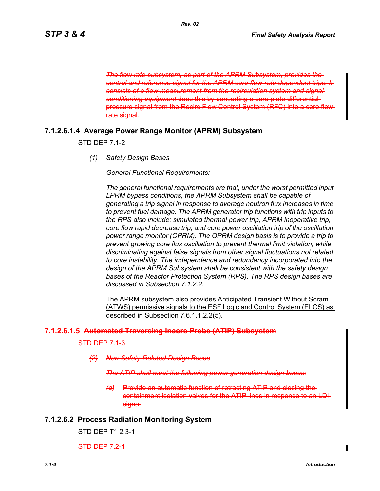*The flow rate subsystem, as part of the APRM Subsystem control and reference signal for the APRM core flow-rate dependent trips. It consists of a flow measurement from the recirculation system and signal*  **conditioning equipment does this by converting** pressure signal from the Recirc Flow Control System (RF rate signal*.*

## **7.1.2.6.1.4 Average Power Range Monitor (APRM) Subsystem**

STD DEP 7.1-2

*(1) Safety Design Bases*

*General Functional Requirements:*

*The general functional requirements are that, under the worst permitted input LPRM bypass conditions, the APRM Subsystem shall be capable of generating a trip signal in response to average neutron flux increases in time to prevent fuel damage. The APRM generator trip functions with trip inputs to the RPS also include: simulated thermal power trip, APRM inoperative trip, core flow rapid decrease trip, and core power oscillation trip of the oscillation power range monitor (OPRM). The OPRM design basis is to provide a trip to prevent growing core flux oscillation to prevent thermal limit violation, while discriminating against false signals from other signal fluctuations not related to core instability. The independence and redundancy incorporated into the design of the APRM Subsystem shall be consistent with the safety design bases of the Reactor Protection System (RPS). The RPS design bases are discussed in Subsection 7.1.2.2.*

The APRM subsystem also provides Anticipated Transient Without Scram (ATWS) permissive signals to the ESF Logic and Control System (ELCS) as described in Subsection 7.6.1.1.2.2(5).

### **7.1.2.6.1.5 Automated Traversing Incore Probe (ATIP) Subsystem**

STD DEP 7.1-3

*(2) Non-Safety-Related Design Bases*

*The ATIP shall meet the following power generation design b* 

*(d)* Provide an automatic function of retracting ATIP and closing the containment isolation valves for the ATIP lines in response to an signal

### **7.1.2.6.2 Process Radiation Monitoring System**

STD DEP T1 2.3-1

STD DEP 7.2-1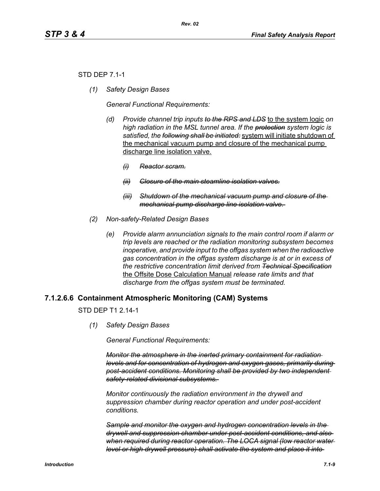## STD DEP 7.1-1

*(1) Safety Design Bases*

*General Functional Requirements:*

- *(d) Provide channel trip inputs to the RPS and LDS* to the system logic *on high radiation in the MSL tunnel area. If the protection system logic is satisfied, the following shall be initiated:* system will initiate shutdown of the mechanical vacuum pump and closure of the mechanical pump discharge line isolation valve.
	- *(i) Reactor scram.*
	- *(ii) Closure of the main steamline isolation valves.*
	- *(iii) Shutdown of the mechanical vacuum pump and closure of the mechanical pump discharge line isolation valve.*
- *(2) Non-safety-Related Design Bases*
	- *(e) Provide alarm annunciation signals to the main control room if alarm or trip levels are reached or the radiation monitoring subsystem becomes inoperative, and provide input to the offgas system when the radioactive gas concentration in the offgas system discharge is at or in excess of the restrictive concentration limit derived from Technical Specification* the Offsite Dose Calculation Manual *release rate limits and that discharge from the offgas system must be terminated.*

# **7.1.2.6.6 Containment Atmospheric Monitoring (CAM) Systems**

STD DFP T1 2 14-1

*(1) Safety Design Bases*

*General Functional Requirements:*

*Monitor the atmosphere in the inerted primary containment for radiation levels and for concentration of hydrogen and oxygen gases, primarily during post-accident conditions. Monitoring shall be provided by two independent safety-related divisional subsystems.* 

*Monitor continuously the radiation environment in the drywell and suppression chamber during reactor operation and under post-accident conditions.* 

*Sample and monitor the oxygen and hydrogen concentration levels in the drywell and suppression chamber under post-accident conditions, and also when required during reactor operation. The LOCA signal (low reactor water level or high drywell pressure) shall activate the system and place it into*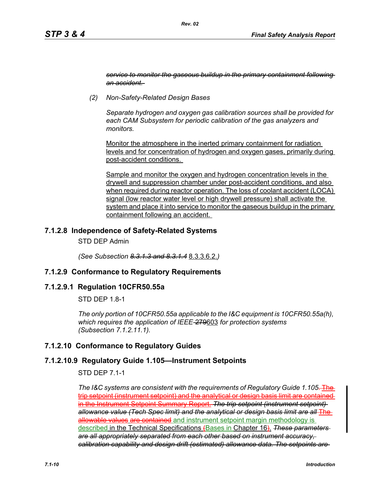*service to monitor the gaseous buildup in the primary containment following an accident.* 

*(2) Non-Safety-Related Design Bases*

*Separate hydrogen and oxygen gas calibration sources shall be provided for each CAM Subsystem for periodic calibration of the gas analyzers and monitors.* 

Monitor the atmosphere in the inerted primary containment for radiation levels and for concentration of hydrogen and oxygen gases, primarily during post-accident conditions.

Sample and monitor the oxygen and hydrogen concentration levels in the drywell and suppression chamber under post-accident conditions, and also when required during reactor operation. The loss of coolant accident (LOCA) signal (low reactor water level or high drywell pressure) shall activate the system and place it into service to monitor the gaseous buildup in the primary containment following an accident.

## **7.1.2.8 Independence of Safety-Related Systems**

STD DEP Admin

*(See Subsection 8.3.1.3 and 8.3.1.4* 8.3.3.6.2.*)*

## **7.1.2.9 Conformance to Regulatory Requirements**

#### **7.1.2.9.1 Regulation 10CFR50.55a**

STD DFP 18-1

*The only portion of 10CFR50.55a applicable to the I&C equipment is 10CFR50.55a(h), which requires the application of IEEE-*279603 *for protection systems (Subsection 7.1.2.11.1).*

## **7.1.2.10 Conformance to Regulatory Guides**

## **7.1.2.10.9 Regulatory Guide 1.105—Instrument Setpoints**

STD DEP 7.1-1

*The I&C systems are consistent with the requirements of Regulatory Guide 1.105*. The trip setpoint (instrument setpoint) and the analytical or design basis limit are contained in the Instrument Setpoint Summary Report. *The trip setpoint (instrument setpoint) allowance value (Tech Spec limit) and the analytical or design basis limit are all* The allowable values are contained and instrument setpoint margin methodology is described in the Technical Specifications (Bases in Chapter 16). *These parameters are all appropriately separated from each other based on instrument accuracy, calibration capability and design drift (estimated) allowance data. The setpoints are*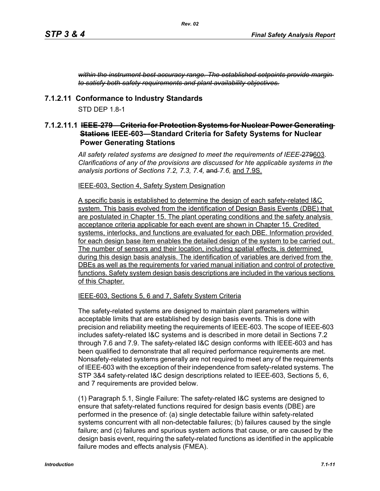*within the instrument best accuracy range. The established setpoints provide margin to satisfy both safety requirements and plant availability objectives.*

## **7.1.2.11 Conformance to Industry Standards**

 $STD$  DFP 1.8-1

## **7.1.2.11.1 IEEE-279—Criteria for Protection Systems for Nuclear Power Generating Stations IEEE-603—Standard Criteria for Safety Systems for Nuclear Power Generating Stations**

*All safety related systems are designed to meet the requirements of IEEE-*279603*. Clarifications of any of the provisions are discussed for hte applicable systems in the analysis portions of Sections 7.2, 7.3, 7.4,* and *7.6,* and 7.9S.

#### IEEE-603, Section 4, Safety System Designation

A specific basis is established to determine the design of each safety-related I&C system. This basis evolved from the identification of Design Basis Events (DBE) that are postulated in Chapter 15. The plant operating conditions and the safety analysis acceptance criteria applicable for each event are shown in Chapter 15. Credited systems, interlocks, and functions are evaluated for each DBE. Information provided for each design base item enables the detailed design of the system to be carried out. The number of sensors and their location, including spatial effects, is determined during this design basis analysis. The identification of variables are derived from the DBEs as well as the requirements for varied manual initiation and control of protective functions. Safety system design basis descriptions are included in the various sections of this Chapter.

#### IEEE-603, Sections 5, 6 and 7, Safety System Criteria

The safety-related systems are designed to maintain plant parameters within acceptable limits that are established by design basis events. This is done with precision and reliability meeting the requirements of IEEE-603. The scope of IEEE-603 includes safety-related I&C systems and is described in more detail in Sections 7.2 through 7.6 and 7.9. The safety-related I&C design conforms with IEEE-603 and has been qualified to demonstrate that all required performance requirements are met. Nonsafety-related systems generally are not required to meet any of the requirements of IEEE-603 with the exception of their independence from safety-related systems. The STP 3&4 safety-related I&C design descriptions related to IEEE-603, Sections 5, 6, and 7 requirements are provided below.

(1) Paragraph 5.1, Single Failure: The safety-related I&C systems are designed to ensure that safety-related functions required for design basis events (DBE) are performed in the presence of: (a) single detectable failure within safety-related systems concurrent with all non-detectable failures; (b) failures caused by the single failure; and (c) failures and spurious system actions that cause, or are caused by the design basis event, requiring the safety-related functions as identified in the applicable failure modes and effects analysis (FMEA).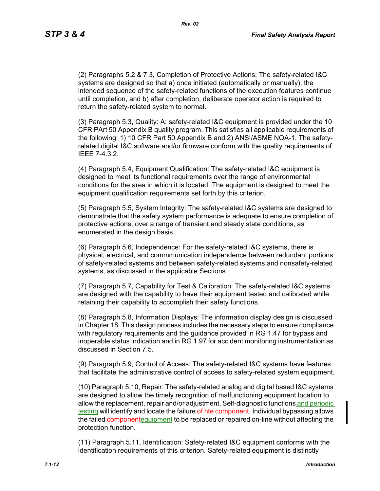*Rev. 02*

(2) Paragraphs 5.2 & 7.3, Completion of Protective Actions: The safety-related I&C systems are designed so that a) once initiated (automatically or manually), the intended sequence of the safety-related functions of the execution features continue until completion, and b) after completion, deliberate operator action is required to return the safety-related system to normal.

(3) Paragraph 5.3, Quality: A: safety-related I&C equipment is provided under the 10 CFR PArt 50 Appendix B quality program. This satisfies all applicable requirements of the following: 1) 10 CFR Part 50 Appendix B and 2) ANSI/ASME NQA-1. The safetyrelated digital I&C software and/or firmware conform with the quality requirements of IEEE 7-4.3.2.

(4) Paragraph 5.4, Equipment Qualification: The safety-related I&C equipment is designed to meet its functional requirements over the range of environmental conditions for the area in which it is located. The equipment is designed to meet the equipment qualification requirements set forth by this criterion.

(5) Paragraph 5.5, System Integrity: The safety-related I&C systems are designed to demonstrate that the safety system performance is adequate to ensure completion of protective actions, over a range of transient and steady state conditions, as enumerated in the design basis.

(6) Paragraph 5.6, Independence: For the safety-related I&C systems, there is physical, electrical, and commmunication independence between redundant portions of safety-related systems and between safety-related systems and nonsafety-related systems, as discussed in the applicable Sections.

(7) Paragraph 5.7, Capability for Test & Calibration: The safety-related I&C systems are designed with the capability to have their equipment tested and calibrated while retaining their capability to accomplish their safety functions.

(8) Paragraph 5.8, Information Displays: The information display design is discussed in Chapter 18. This design process includes the necessary steps to ensure compliance with regulatory requirements and the guidance provided in RG 1.47 for bypass and inoperable status indication and in RG 1.97 for accident monitoring instrumentation as discussed in Section 7.5.

(9) Paragraph 5.9, Control of Access: The safety-related I&C systems have features that facilitate the administrative control of access to safety-related system equipment.

(10) Paragraph 5.10, Repair: The safety-related analog and digital based I&C systems are designed to allow the timely recognition of malfunctioning equipment location to allow the replacement, repair and/or adjustment. Self-diagnostic functions and periodic testing will identify and locate the failure of hte component. Individual bypassing allows the failed component equipment to be replaced or repaired on-line without affecting the protection function.

(11) Paragraph 5.11, Identification: Safety-related I&C equipment conforms with the identification requirements of this criterion. Safety-related equipment is distinctly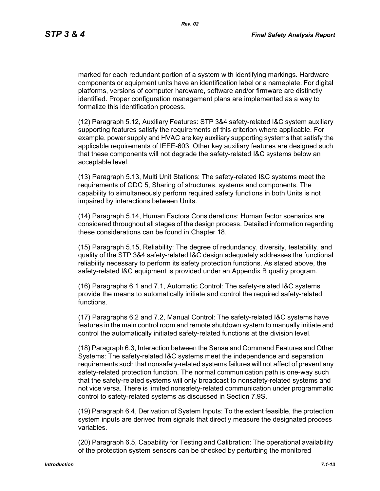marked for each redundant portion of a system with identifying markings. Hardware components or equipment units have an identification label or a nameplate. For digital platforms, versions of computer hardware, software and/or firmware are distinctly identified. Proper configuration management plans are implemented as a way to formalize this identification process.

(12) Paragraph 5.12, Auxiliary Features: STP 3&4 safety-related I&C system auxiliary supporting features satisfy the requirements of this criterion where applicable. For example, power supply and HVAC are key auxiliary supporting systems that satisfy the applicable requirements of IEEE-603. Other key auxiliary features are designed such that these components will not degrade the safety-related I&C systems below an acceptable level.

(13) Paragraph 5.13, Multi Unit Stations: The safety-related I&C systems meet the requirements of GDC 5, Sharing of structures, systems and components. The capability to simultaneously perform required safety functions in both Units is not impaired by interactions between Units.

(14) Paragraph 5.14, Human Factors Considerations: Human factor scenarios are considered throughout all stages of the design process. Detailed information regarding these considerations can be found in Chapter 18.

(15) Paragraph 5.15, Reliability: The degree of redundancy, diversity, testability, and quality of the STP 3&4 safety-related I&C design adequately addresses the functional reliability necessary to perform its safety protection functions. As stated above, the safety-related I&C equipment is provided under an Appendix B quality program.

(16) Paragraphs 6.1 and 7.1, Automatic Control: The safety-related I&C systems provide the means to automatically initiate and control the required safety-related functions.

(17) Paragraphs 6.2 and 7.2, Manual Control: The safety-related I&C systems have features in the main control room and remote shutdown system to manually initiate and control the automatically initiated safety-related functions at the division level.

(18) Paragraph 6.3, Interaction between the Sense and Command Features and Other Systems: The safety-related I&C systems meet the independence and separation requirements such that nonsafety-related systems failures will not affect of prevent any safety-related protection function. The normal communication path is one-way such that the safety-related systems will only broadcast to nonsafety-related systems and not vice versa. There is limited nonsafety-related communication under programmatic control to safety-related systems as discussed in Section 7.9S.

(19) Paragraph 6.4, Derivation of System Inputs: To the extent feasible, the protection system inputs are derived from signals that directly measure the designated process variables.

(20) Paragraph 6.5, Capability for Testing and Calibration: The operational availability of the protection system sensors can be checked by perturbing the monitored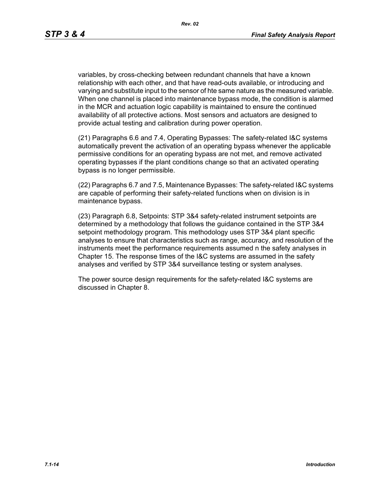variables, by cross-checking between redundant channels that have a known relationship with each other, and that have read-outs available, or introducing and varying and substitute input to the sensor of hte same nature as the measured variable. When one channel is placed into maintenance bypass mode, the condition is alarmed in the MCR and actuation logic capability is maintained to ensure the continued availability of all protective actions. Most sensors and actuators are designed to provide actual testing and calibration during power operation.

(21) Paragraphs 6.6 and 7.4, Operating Bypasses: The safety-related I&C systems automatically prevent the activation of an operating bypass whenever the applicable permissive conditions for an operating bypass are not met, and remove activated operating bypasses if the plant conditions change so that an activated operating bypass is no longer permissible.

(22) Paragraphs 6.7 and 7.5, Maintenance Bypasses: The safety-related I&C systems are capable of performing their safety-related functions when on division is in maintenance bypass.

(23) Paragraph 6.8, Setpoints: STP 3&4 safety-related instrument setpoints are determined by a methodology that follows the guidance contained in the STP 3&4 setpoint methodology program. This methodology uses STP 3&4 plant specific analyses to ensure that characteristics such as range, accuracy, and resolution of the instruments meet the performance requirements assumed n the safety analyses in Chapter 15. The response times of the I&C systems are assumed in the safety analyses and verified by STP 3&4 surveillance testing or system analyses.

The power source design requirements for the safety-related I&C systems are discussed in Chapter 8.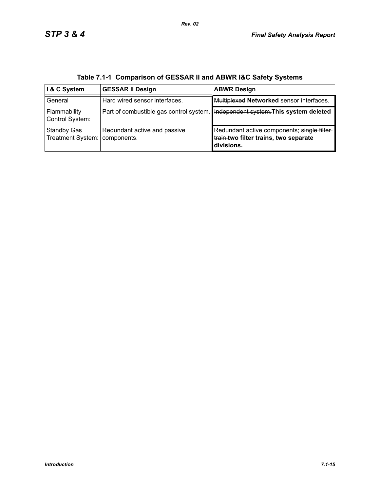| I & C System                            | <b>GESSAR II Design</b>                     | <b>ABWR Design</b>                                                                                 |
|-----------------------------------------|---------------------------------------------|----------------------------------------------------------------------------------------------------|
| General                                 | Hard wired sensor interfaces.               | Multiplexed Networked sensor interfaces.                                                           |
| Flammability<br>Control System:         | Part of combustible gas control system.     | Independent system. This system deleted                                                            |
| <b>Standby Gas</b><br>Treatment System: | Redundant active and passive<br>components. | Redundant active components; single filter-<br>train.two filter trains, two separate<br>divisions. |

**Table 7.1-1 Comparison of GESSAR II and ABWR I&C Safety Systems**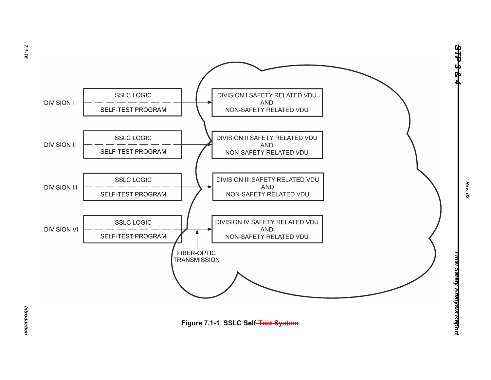

*Introduction* 

Introduction

*STP 3 & 4*